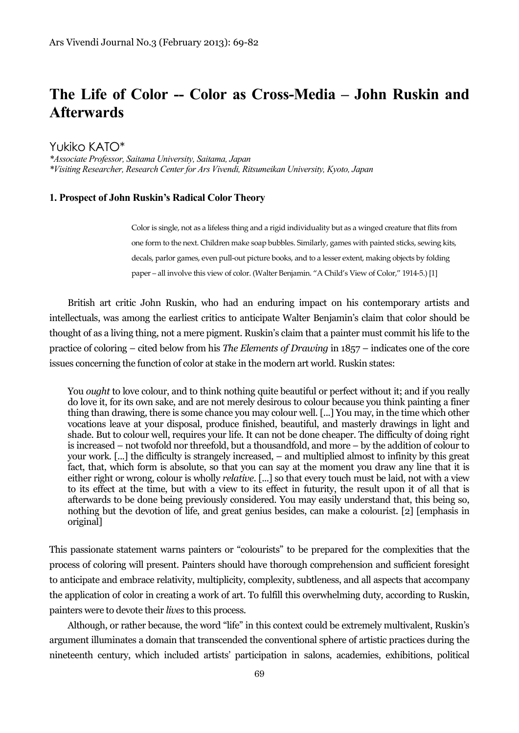# **The Life of Color -- Color as Cross-Media – John Ruskin and Afterwards**

Yukiko KATO\*

*\*Associate Professor, Saitama University, Saitama, Japan \*Visiting Researcher, Research Center for Ars Vivendi, Ritsumeikan University, Kyoto, Japan*

#### **1. Prospect of John Ruskin's Radical ColorTheory**

Color is single, not as a lifeless thing and a rigid individuality but as a winged creature that flits from one form to the next. Children make soap bubbles. Similarly, games with painted sticks, sewing kits, decals, parlor games, even pull-out picture books, and to a lesser extent, making objects by folding paper – all involve this view of color. (Walter Benjamin. "A Child's View of Color," 1914-5.) [1]

British art critic John Ruskin, who had an enduring impact on his contemporary artists and intellectuals, was among the earliest critics to anticipate Walter Benjamin's claim that color should be thought of as a living thing, not a mere pigment. Ruskin's claim that a painter must commit his life to the practice of coloring – cited below from his *The Elements of Drawing* in 1857 – indicates one of the core issues concerning the function of color at stake in the modern art world. Ruskin states:

You *ought* to love colour, and to think nothing quite beautiful or perfect without it; and if you really do love it, for its own sake, and are not merely desirous to colour because you think painting a finer thing than drawing, there is some chance you may colour well. [...] You may, in the time which other vocations leave at your disposal, produce finished, beautiful, and masterly drawings in light and shade. But to colour well, requires your life. It can not be done cheaper. The difficulty of doing right is increased – not twofold nor threefold, but a thousandfold, and more – by the addition of colour to your work. [...] the difficulty is strangely increased, – and multiplied almost to infinity by this great fact, that, which form is absolute, so that you can say at the moment you draw any line that it is either right or wrong, colour is wholly *relative*. [...] so that every touch must be laid, not with a view to its effect at the time, but with a view to its effect in futurity, the result upon it of all that is afterwards to be done being previously considered. You may easily understand that, this being so, nothing but the devotion of life, and great genius besides, can make a colourist. [2] [emphasis in original]

This passionate statement warns painters or "colourists" to be prepared for the complexities that the process of coloring will present. Painters should have thorough comprehension and sufficient foresight to anticipate and embrace relativity, multiplicity, complexity, subtleness, and all aspects that accompany the application of color in creating a work of art. To fulfill this overwhelming duty, according to Ruskin, painters were to devote their *lives* to this process.

Although, or rather because, the word "life" in this context could be extremely multivalent, Ruskin's argument illuminates a domain that transcended the conventional sphere of artistic practices during the nineteenth century, which included artists' participation in salons, academies, exhibitions, political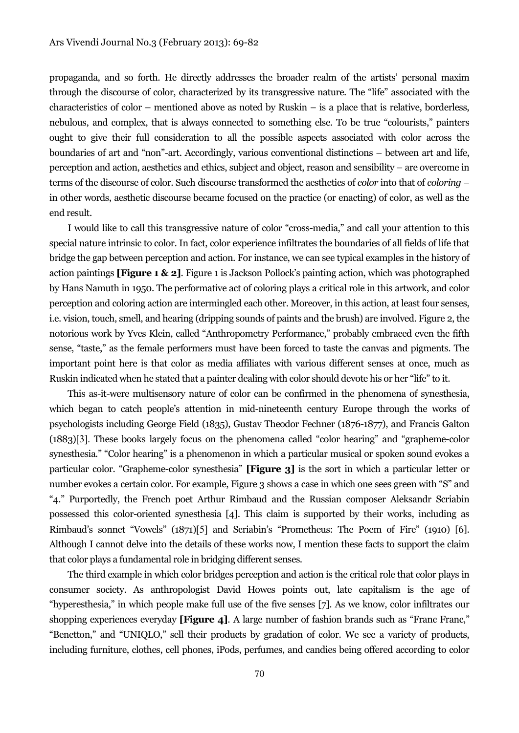propaganda, and so forth. He directly addresses the broader realm of the artists' personal maxim through the discourse of color, characterized by its transgressive nature. The "life" associated with the characteristics of color – mentioned above as noted by Ruskin – is a place that is relative, borderless, nebulous, and complex, that is always connected to something else. To be true "colourists," painters ought to give their full consideration to all the possible aspects associated with color across the boundaries of art and "non"-art. Accordingly, various conventional distinctions – between art and life, perception and action, aesthetics and ethics, subject and object, reason and sensibility – are overcome in terms of the discourse of color. Such discourse transformed the aesthetics of *color* into that of *coloring* – in other words, aesthetic discourse became focused on the practice (or enacting) of color, as well as the end result.

I would like to call this transgressive nature of color "cross-media," and call your attention to this special nature intrinsic to color. In fact, color experience infiltrates the boundaries of all fields of life that bridge the gap between perception and action. For instance, we can see typical examples in the history of action paintings **[Figure 1 & 2]**. Figure 1 is Jackson Pollock's painting action, which was photographed by Hans Namuth in 1950. The performative act of coloring plays a critical role in this artwork, and color perception and coloring action are intermingled each other. Moreover, in this action, at least four senses, i.e. vision, touch, smell, and hearing (dripping sounds of paints and the brush) are involved. Figure 2, the notorious work by Yves Klein, called "Anthropometry Performance," probably embraced even the fifth sense, "taste," as the female performers must have been forced to taste the canvas and pigments. The important point here is that color as media affiliates with various different senses at once, much as Ruskin indicated when he stated that a painter dealing with color should devote his or her "life" to it.

This as-it-were multisensory nature of color can be confirmed in the phenomena of synesthesia, which began to catch people's attention in mid-nineteenth century Europe through the works of psychologists including George Field (1835), Gustav Theodor Fechner (1876-1877), and Francis Galton (1883)[3]. These books largely focus on the phenomena called "color hearing" and "grapheme-color synesthesia." "Color hearing" is a phenomenon in which a particular musical or spoken sound evokes a particular color. "Grapheme-color synesthesia" **[Figure 3]** is the sort in which a particular letter or number evokes a certain color. For example, Figure 3 shows a case in which one sees green with "S" and "4." Purportedly, the French poet Arthur Rimbaud and the Russian composer Aleksandr Scriabin possessed this color-oriented synesthesia [4]. This claim is supported by their works, including as Rimbaud's sonnet "Vowels" (1871)[5] and Scriabin's "Prometheus: The Poem of Fire" (1910) [6]. Although I cannot delve into the details of these works now, I mention these facts to support the claim that color plays a fundamental role in bridging different senses.

The third example in which color bridges perception and action is the critical role that color plays in consumer society. As anthropologist David Howes points out, late capitalism is the age of "hyperesthesia," in which people make full use of the five senses [7]. As we know, color infiltrates our shopping experiences everyday **[Figure 4]**. A large number of fashion brands such as "Franc Franc," "Benetton," and "UNIQLO," sell their products by gradation of color. We see a variety of products, including furniture, clothes, cell phones, iPods, perfumes, and candies being offered according to color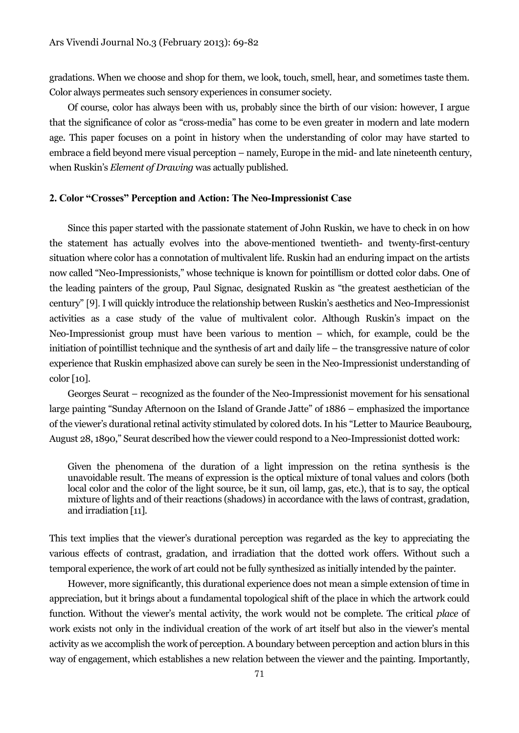gradations. When we choose and shop for them, we look, touch, smell, hear, and sometimes taste them. Color always permeates such sensory experiences in consumer society.

Of course, color has always been with us, probably since the birth of our vision: however, I argue that the significance of color as "cross-media" has come to be even greater in modern and late modern age. This paper focuses on a point in history when the understanding of color may have started to embrace a field beyond mere visual perception – namely, Europe in the mid- and late nineteenth century, when Ruskin's *Element of Drawing* was actually published.

#### **2. Color "Crosses" Perception and Action: The Neo-Impressionist Case**

Since this paper started with the passionate statement of John Ruskin, we have to check in on how the statement has actually evolves into the above-mentioned twentieth- and twenty-first-century situation where color has a connotation of multivalent life. Ruskin had an enduring impact on the artists now called "Neo-Impressionists," whose technique is known for pointillism or dotted color dabs. One of the leading painters of the group, Paul Signac, designated Ruskin as "the greatest aesthetician of the century" [9]. I will quickly introduce the relationship between Ruskin's aesthetics and Neo-Impressionist activities as a case study of the value of multivalent color. Although Ruskin's impact on the Neo-Impressionist group must have been various to mention – which, for example, could be the initiation of pointillist technique and the synthesis of art and daily life – the transgressive nature of color experience that Ruskin emphasized above can surely be seen in the Neo-Impressionist understanding of color [10].

Georges Seurat – recognized as the founder of the Neo-Impressionist movement for his sensational large painting "Sunday Afternoon on the Island of Grande Jatte" of 1886 – emphasized the importance of the viewer's durational retinal activity stimulated by colored dots. In his "Letter to Maurice Beaubourg, August 28, 1890," Seurat described how the viewer could respond to a Neo-Impressionist dotted work:

Given the phenomena of the duration of a light impression on the retina synthesis is the unavoidable result. The means of expression is the optical mixture of tonal values and colors (both local color and the color of the light source, be it sun, oil lamp, gas, etc.), that is to say, the optical mixture of lights and of their reactions (shadows) in accordance with the laws of contrast, gradation, and irradiation [11].

This text implies that the viewer's durational perception was regarded as the key to appreciating the various effects of contrast, gradation, and irradiation that the dotted work offers. Without such a temporal experience, the work of art could not be fully synthesized as initially intended by the painter.

However, more significantly, this durational experience does not mean a simple extension of time in appreciation, but it brings about a fundamental topological shift of the place in which the artwork could function. Without the viewer's mental activity, the work would not be complete. The critical *place* of work exists not only in the individual creation of the work of art itself but also in the viewer's mental activity as we accomplish the work of perception. A boundary between perception and action blurs in this way of engagement, which establishes a new relation between the viewer and the painting. Importantly,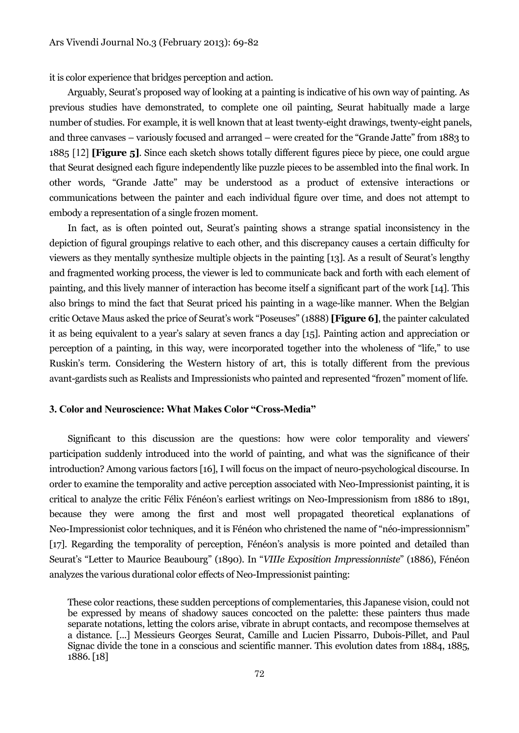it is color experience that bridges perception and action.

Arguably, Seurat's proposed way of looking at a painting is indicative of his own way of painting. As previous studies have demonstrated, to complete one oil painting, Seurat habitually made a large number of studies. For example, it is well known that at least twenty-eight drawings, twenty-eight panels, and three canvases – variously focused and arranged – were created for the "Grande Jatte" from 1883 to 1885 [12] **[Figure 5]**. Since each sketch shows totally different figures piece by piece, one could argue that Seurat designed each figure independently like puzzle pieces to be assembled into the final work. In other words, "Grande Jatte" may be understood as a product of extensive interactions or communications between the painter and each individual figure over time, and does not attempt to embody a representation of a single frozen moment.

In fact, as is often pointed out, Seurat's painting shows a strange spatial inconsistency in the depiction of figural groupings relative to each other, and this discrepancy causes a certain difficulty for viewers as they mentally synthesize multiple objects in the painting [13]. As a result of Seurat's lengthy and fragmented working process, the viewer is led to communicate back and forth with each element of painting, and this lively manner of interaction has become itself a significant part of the work [14]. This also brings to mind the fact that Seurat priced his painting in a wage-like manner. When the Belgian critic Octave Maus asked the price of Seurat's work "Poseuses" (1888) **[Figure 6]**, the painter calculated it as being equivalent to a year's salary at seven francs a day [15]. Painting action and appreciation or perception of a painting, in this way, were incorporated together into the wholeness of "life," to use Ruskin's term. Considering the Western history of art, this is totally different from the previous avant-gardists such as Realists and Impressionists who painted and represented "frozen" moment of life.

## **3. Color and Neuroscience: What Makes Color "Cross-Media"**

Significant to this discussion are the questions: how were color temporality and viewers' participation suddenly introduced into the world of painting, and what was the significance of their introduction? Among various factors [16], I will focus on the impact of neuro-psychological discourse. In order to examine the temporality and active perception associated with Neo-Impressionist painting, it is critical to analyze the critic Félix Fénéon's earliest writings on Neo-Impressionism from 1886 to 1891, because they were among the first and most well propagated theoretical explanations of Neo-Impressionist color techniques, and it is Fénéon who christened the name of "néo-impressionnism" [17]. Regarding the temporality of perception, Fénéon's analysis is more pointed and detailed than Seurat's "Letter to Maurice Beaubourg" (1890). In "*VIIIe Exposition Impressionniste*" (1886), Fénéon analyzes the various durational color effects of Neo-Impressionist painting:

These color reactions, these sudden perceptions of complementaries, this Japanese vision, could not be expressed by means of shadowy sauces concocted on the palette: these painters thus made separate notations, letting the colors arise, vibrate in abrupt contacts, and recompose themselves at a distance. [...] Messieurs Georges Seurat, Camille and Lucien Pissarro, Dubois-Pillet, and Paul Signac divide the tone in a conscious and scientific manner. This evolution dates from 1884, 1885, 1886.[18]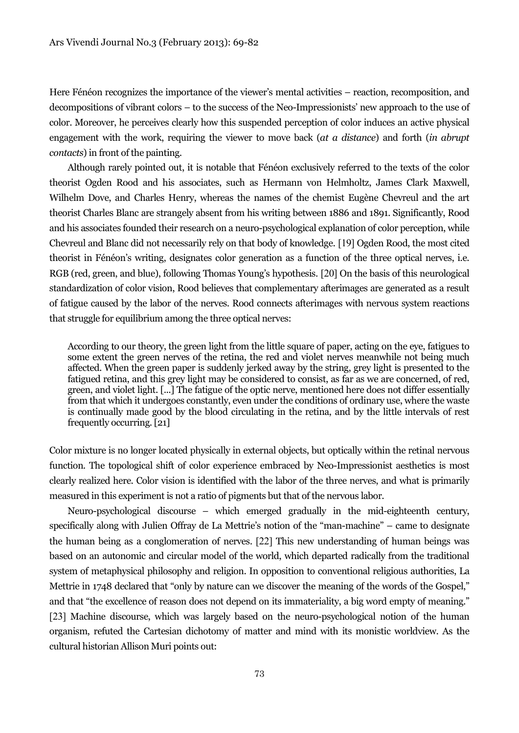Here Fénéon recognizes the importance of the viewer's mental activities – reaction, recomposition, and decompositions of vibrant colors – to the success of the Neo-Impressionists' new approach to the use of color. Moreover, he perceives clearly how this suspended perception of color induces an active physical engagement with the work, requiring the viewer to move back (*at a distance*) and forth (*in abrupt contacts*) in front of the painting.

Although rarely pointed out, it is notable that Fénéon exclusively referred to the texts of the color theorist Ogden Rood and his associates, such as Hermann von Helmholtz, James Clark Maxwell, Wilhelm Dove, and Charles Henry, whereas the names of the chemist Eugène Chevreul and the art theorist Charles Blanc are strangely absent from his writing between 1886 and 1891. Significantly, Rood and his associates founded their research on a neuro-psychological explanation of color perception, while Chevreul and Blanc did not necessarily rely on that body of knowledge. [19] Ogden Rood, the most cited theorist in Fénéon's writing, designates color generation as a function of the three optical nerves, i.e. RGB (red, green, and blue), following Thomas Young's hypothesis. [20] On the basis of this neurological standardization of color vision, Rood believes that complementary afterimages are generated as a result of fatigue caused by the labor of the nerves. Rood connects afterimages with nervous system reactions that struggle for equilibrium among the three optical nerves:

According to our theory, the green light from the little square of paper, acting on the eye, fatigues to some extent the green nerves of the retina, the red and violet nerves meanwhile not being much affected. When the green paper is suddenly jerked away by the string, grey light is presented to the fatigued retina, and this grey light may be considered to consist, as far as we are concerned, of red, green, and violet light. [...] The fatigue of the optic nerve, mentioned here does not differ essentially from that which it undergoes constantly, even under the conditions of ordinary use, where the waste is continually made good by the blood circulating in the retina, and by the little intervals of rest frequently occurring.[21]

Color mixture is no longer located physically in external objects, but optically within the retinal nervous function. The topological shift of color experience embraced by Neo-Impressionist aesthetics is most clearly realized here. Color vision is identified with the labor of the three nerves, and what is primarily measured in this experiment is not a ratio of pigments but that of the nervous labor.

Neuro-psychological discourse – which emerged gradually in the mid-eighteenth century, specifically along with Julien Offray de La Mettrie's notion of the "man-machine" – came to designate the human being as a conglomeration of nerves. [22] This new understanding of human beings was based on an autonomic and circular model of the world, which departed radically from the traditional system of metaphysical philosophy and religion. In opposition to conventional religious authorities, La Mettrie in 1748 declared that "only by nature can we discover the meaning of the words of the Gospel," and that "the excellence of reason does not depend on its immateriality, a big word empty of meaning." [23] Machine discourse, which was largely based on the neuro-psychological notion of the human organism, refuted the Cartesian dichotomy of matter and mind with its monistic worldview. As the cultural historian Allison Muri points out: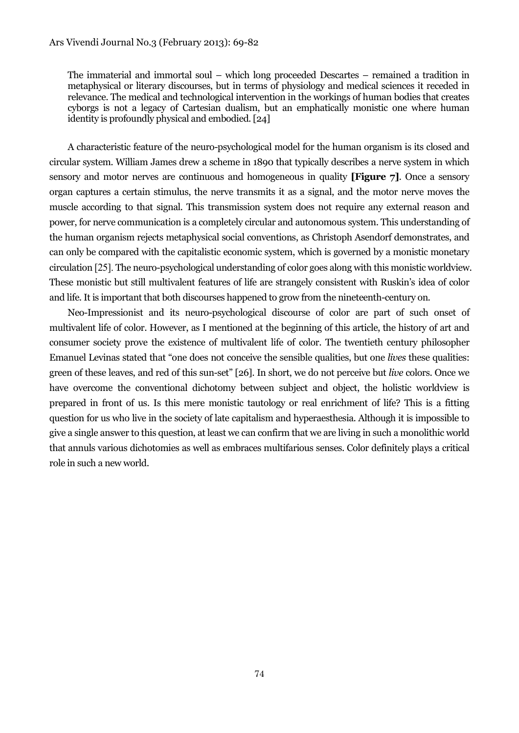The immaterial and immortal soul – which long proceeded Descartes – remained a tradition in metaphysical or literary discourses, but in terms of physiology and medical sciences it receded in relevance. The medical and technological intervention in the workings of human bodies that creates cyborgs is not a legacy of Cartesian dualism, but an emphatically monistic one where human identity is profoundly physical and embodied.[24]

A characteristic feature of the neuro-psychological model for the human organism is its closed and circular system. William James drew a scheme in 1890 that typically describes a nerve system in which sensory and motor nerves are continuous and homogeneous in quality **[Figure 7]**. Once a sensory organ captures a certain stimulus, the nerve transmits it as a signal, and the motor nerve moves the muscle according to that signal. This transmission system does not require any external reason and power, for nerve communication is a completely circular and autonomous system. This understanding of the human organism rejects metaphysical social conventions, as Christoph Asendorf demonstrates, and can only be compared with the capitalistic economic system, which is governed by a monistic monetary circulation [25]. The neuro-psychological understanding of color goes along with this monistic worldview. These monistic but still multivalent features of life are strangely consistent with Ruskin's idea of color and life. It is important that both discourses happened to grow from the nineteenth-century on.

Neo-Impressionist and its neuro-psychological discourse of color are part of such onset of multivalent life of color. However, as I mentioned at the beginning of this article, the history of art and consumer society prove the existence of multivalent life of color. The twentieth century philosopher Emanuel Levinas stated that "one does not conceive the sensible qualities, but one *lives* these qualities: green of these leaves, and red of this sun-set" [26]. In short, we do not perceive but *live* colors. Once we have overcome the conventional dichotomy between subject and object, the holistic worldview is prepared in front of us. Is this mere monistic tautology or real enrichment of life? This is a fitting question for us who live in the society of late capitalism and hyperaesthesia. Although it is impossible to give a single answer to this question, at least we can confirm that we are living in such a monolithic world that annuls various dichotomies as well as embraces multifarious senses. Color definitely plays a critical role in such a new world.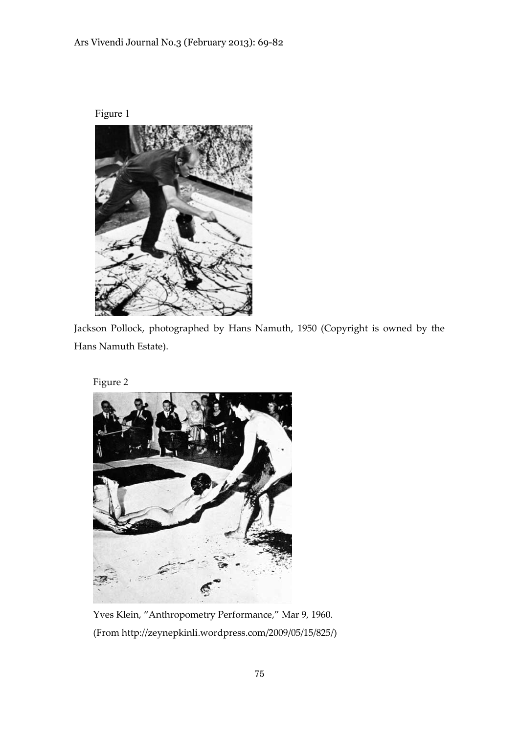# Ars Vivendi Journal No.3 (February 2013): 69-82





Jackson Pollock, photographed by Hans Namuth, 1950 (Copyright is owned by the Hans Namuth Estate).

Figure 2



Yves Klein, "Anthropometry Performance," Mar 9, 1960. (From http://zeynepkinli.wordpress.com/2009/05/15/825/)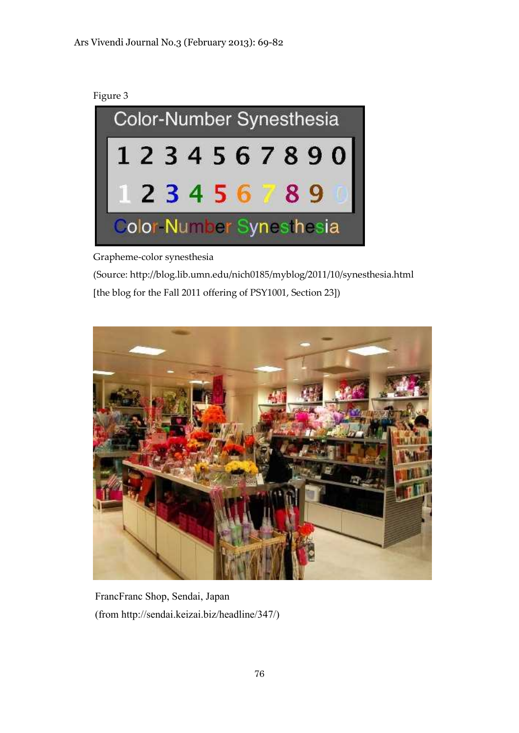



Grapheme-color synesthesia

(Source: http://blog.lib.umn.edu/nich0185/myblog/2011/10/synesthesia.html [the blog for the Fall 2011 offering of PSY1001, Section 23])



FrancFranc Shop, Sendai, Japan (from http://sendai.keizai.biz/headline/347/)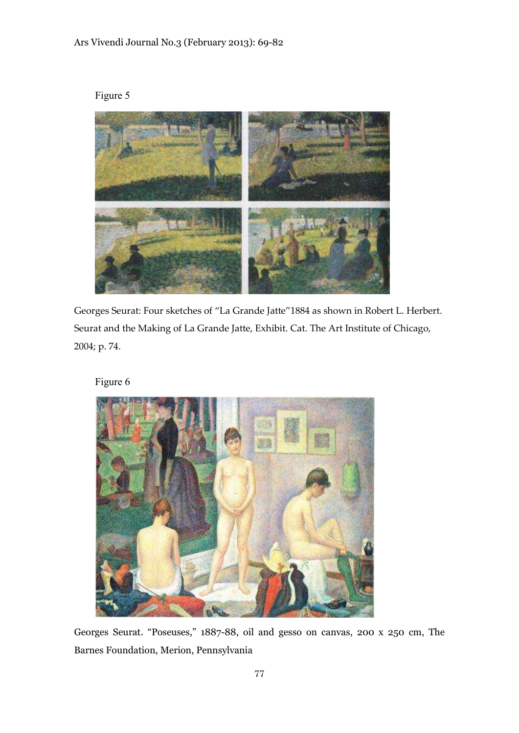



Georges Seurat: Four sketches of "La Grande Jatte"1884 as shown in Robert L. Herbert. Seurat and the Making of La Grande Jatte, Exhibit. Cat. The Art Institute of Chicago, 2004; p. 74.

Figure 6



Georges Seurat. "Poseuses," 1887-88, oil and gesso on canvas, 200 x 250 cm, The Barnes Foundation, Merion, Pennsylvania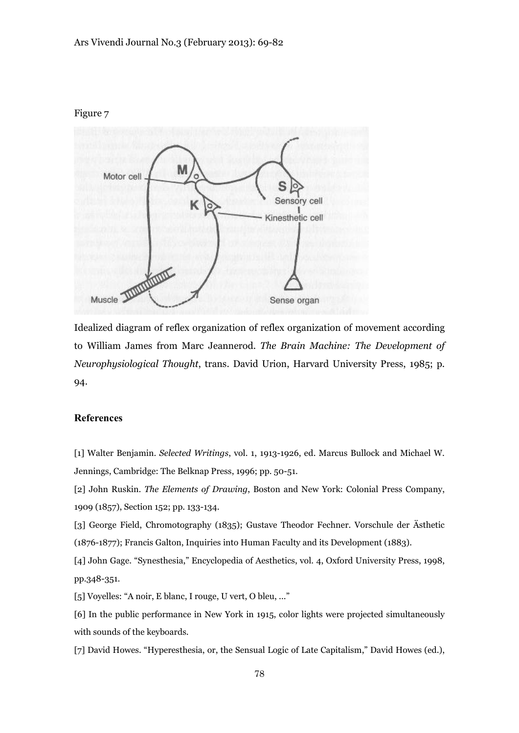#### Figure 7



Idealized diagram of reflex organization of reflex organization of movement according to William James from Marc Jeannerod. *The Brain Machine: The Development of Neurophysiological Thought*, trans. David Urion, Harvard University Press, 1985; p. 94.

### **References**

[1] Walter Benjamin. *Selected Writings*, vol. 1, 1913-1926, ed. Marcus Bullock and Michael W. Jennings, Cambridge: The Belknap Press, 1996; pp. 50-51.

[2] John Ruskin. *The Elements of Drawing*, Boston and New York: Colonial Press Company, 1909 (1857), Section 152; pp. 133-134.

[3] George Field, Chromotography (1835); Gustave Theodor Fechner. Vorschule der Ästhetic (1876-1877); Francis Galton, Inquiries into Human Faculty and its Development (1883).

[4] John Gage. "Synesthesia," Encyclopedia of Aesthetics, vol. 4, Oxford University Press, 1998, pp.348-351.

[5] Voyelles: "A noir, E blanc, I rouge, U vert, O bleu, ..."

[6] In the public performance in New York in 1915, color lights were projected simultaneously with sounds of the keyboards.

[7] David Howes. "Hyperesthesia, or, the Sensual Logic of Late Capitalism," David Howes (ed.),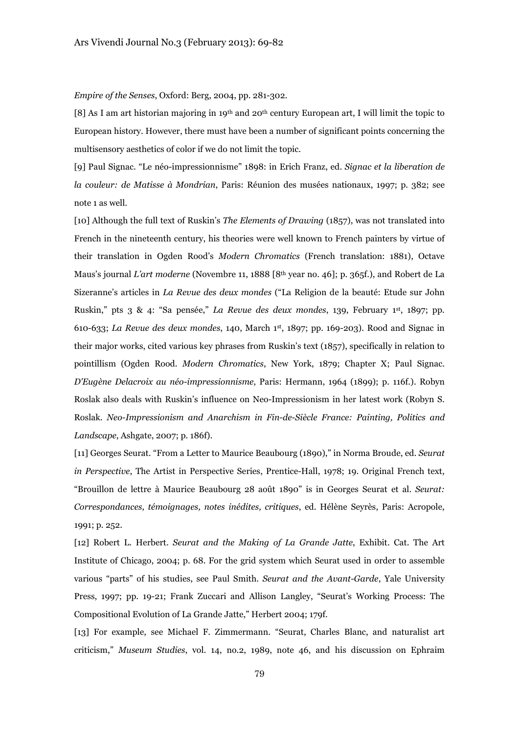*Empire of the Senses*, Oxford: Berg, 2004, pp. 281-302.

[8] As I am art historian majoring in 19th and 20th century European art, I will limit the topic to European history. However, there must have been a number of significant points concerning the multisensory aesthetics of color if we do not limit the topic.

[9] Paul Signac. "Le néo-impressionnisme" 1898: in Erich Franz, ed. *Signac et la liberation de la couleur: de Matisse à Mondrian*, Paris: Réunion des musées nationaux, 1997; p. 382; see note 1 as well.

[10] Although the full text of Ruskin's *The Elements of Drawing* (1857), was not translated into French in the nineteenth century, his theories were well known to French painters by virtue of their translation in Ogden Rood's *Modern Chromatics* (French translation: 1881), Octave Maus's journal *L'art moderne* (Novembre 11, 1888 [8th year no. 46]; p. 365f.), and Robert de La Sizeranne's articles in *La Revue des deux mondes* ("La Religion de la beauté: Etude sur John Ruskin," pts 3 & 4: "Sa pensée," *La Revue des deux mondes*, 139, February 1 st , 1897; pp. 610-633; *La Revue des deux mondes*, 140, March 1 st , 1897; pp. 169-203). Rood and Signac in their major works, cited various key phrases from Ruskin's text (1857), specifically in relation to pointillism (Ogden Rood. *Modern Chromatics*, New York, 1879; Chapter X; Paul Signac. *D'Eugène Delacroix au néo-impressionnisme*, Paris: Hermann, 1964 (1899); p. 116f.). Robyn Roslak also deals with Ruskin's influence on Neo-Impressionism in her latest work (Robyn S. Roslak. *Neo-Impressionism and Anarchism in Fin-de-Siècle France: Painting, Politics and Landscape*, Ashgate, 2007; p. 186f).

[11] Georges Seurat. "From a Letter to Maurice Beaubourg (1890)," in Norma Broude, ed. *Seurat in Perspective*, The Artist in Perspective Series, Prentice-Hall, 1978; 19. Original French text, "Brouillon de lettre à Maurice Beaubourg 28 août 1890" is in Georges Seurat et al. *Seurat: Correspondances, témoignages, notes inédites, critiques*, ed. Hélène Seyrès, Paris: Acropole, 1991; p. 252.

[12] Robert L. Herbert. *Seurat and the Making of La Grande Jatte*, Exhibit. Cat. The Art Institute of Chicago, 2004; p. 68. For the grid system which Seurat used in order to assemble various "parts" of his studies, see Paul Smith. *Seurat and the Avant-Garde*, Yale University Press, 1997; pp. 19-21; Frank Zuccari and Allison Langley, "Seurat's Working Process: The Compositional Evolution of La Grande Jatte," Herbert 2004; 179f.

[13] For example, see Michael F. Zimmermann. "Seurat, Charles Blanc, and naturalist art criticism," *Museum Studies*, vol. 14, no.2, 1989, note 46, and his discussion on Ephraim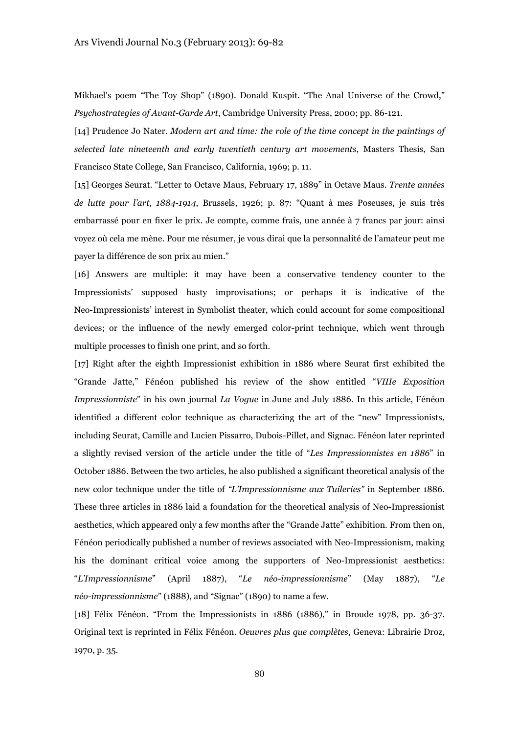Mikhael's poem "The Toy Shop" (1890). Donald Kuspit. "The Anal Universe of the Crowd," *Psychostrategies of Avant-Garde Art*, Cambridge University Press, 2000; pp. 86-121.

[14] Prudence Jo Nater. *Modern art and time: the role of the time concept in the paintings of selected late nineteenth and early twentieth century art movements*, Masters Thesis, San Francisco State College, San Francisco, California, 1969; p. 11.

[15] Georges Seurat. "Letter to Octave Maus, February 17, 1889" in Octave Maus. *Trente années de lutte pour l'art, 1884-1914*, Brussels, 1926; p. 87: "Quant à mes Poseuses, je suis très embarrassé pour en fixer le prix. Je compte, comme frais, une année à 7 francs par jour: ainsi voyez où cela me mène. Pour me résumer, je vous dirai que la personnalité de l'amateur peut me payer la différence de son prix au mien."

[16] Answers are multiple: it may have been a conservative tendency counter to the Impressionists' supposed hasty improvisations; or perhaps it is indicative of the Neo-Impressionists' interest in Symbolist theater, which could account for some compositional devices; or the influence of the newly emerged color-print technique, which went through multiple processes to finish one print, and so forth.

[17] Right after the eighth Impressionist exhibition in 1886 where Seurat first exhibited the "Grande Jatte," Fénéon published his review of the show entitled "*VIIIe Exposition Impressionniste*" in his own journal *La Vogue* in June and July 1886. In this article, Fénéon identified a different color technique as characterizing the art of the "new" Impressionists, including Seurat, Camille and Lucien Pissarro, Dubois-Pillet, and Signac. Fénéon later reprinted a slightly revised version of the article under the title of "*Les Impressionnistes en 1886*" in October 1886. Between the two articles, he also published a significant theoretical analysis of the new color technique under the title of *"L'Impressionnisme aux Tuileries"* in September 1886. These three articles in 1886 laid a foundation for the theoretical analysis of Neo-Impressionist aesthetics, which appeared only a few months after the "Grande Jatte" exhibition. From then on, Fénéon periodically published a number of reviews associated with Neo-Impressionism, making his the dominant critical voice among the supporters of Neo-Impressionist aesthetics: "*L'Impressionnisme*" (April 1887), "*Le néo-impressionnisme*" (May 1887), "*Le néo-impressionnisme*" (1888), and "Signac" (1890) to name a few.

[18] Félix Fénéon. "From the Impressionists in 1886 (1886)," in Broude 1978, pp. 36-37. Original text is reprinted in Félix Fénéon. *Oeuvres plus que complètes*, Geneva: Librairie Droz, 1970, p. 35.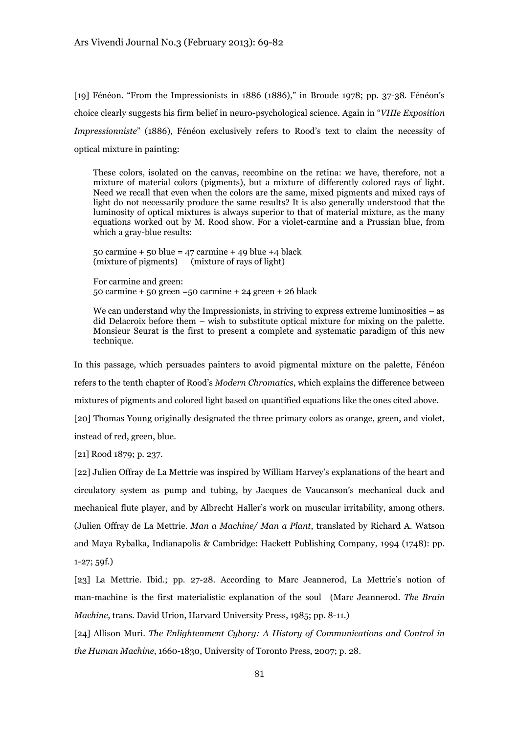[19] Fénéon. "From the Impressionists in 1886 (1886)," in Broude 1978; pp. 37-38. Fénéon's choice clearly suggests his firm belief in neuro-psychological science. Again in "*VIIIe Exposition Impressionniste*" (1886), Fénéon exclusively refers to Rood's text to claim the necessity of optical mixture in painting:

These colors, isolated on the canvas, recombine on the retina: we have, therefore, not a mixture of material colors (pigments), but a mixture of differently colored rays of light. Need we recall that even when the colors are the same, mixed pigments and mixed rays of light do not necessarily produce the same results? It is also generally understood that the luminosity of optical mixtures is always superior to that of material mixture, as the many equations worked out by M. Rood show. For a violet-carmine and a Prussian blue, from which a gray-blue results:

50 carmine + 50 blue =  $47$  carmine + 49 blue +4 black (mixture of pigments) (mixture of rays of light)

For carmine and green: 50 carmine + 50 green =50 carmine + 24 green + 26 black

We can understand why the Impressionists, in striving to express extreme luminosities – as did Delacroix before them – wish to substitute optical mixture for mixing on the palette. Monsieur Seurat is the first to present a complete and systematic paradigm of this new technique.

In this passage, which persuades painters to avoid pigmental mixture on the palette, Fénéon refers to the tenth chapter of Rood's *Modern Chromatics*, which explains the difference between mixtures of pigments and colored light based on quantified equations like the ones cited above. [20] Thomas Young originally designated the three primary colors as orange, green, and violet, instead of red, green, blue.

[21] Rood 1879; p. 237.

[22] Julien Offray de La Mettrie was inspired by William Harvey's explanations of the heart and circulatory system as pump and tubing, by Jacques de Vaucanson's mechanical duck and mechanical flute player, and by Albrecht Haller's work on muscular irritability, among others. (Julien Offray de La Mettrie. *Man a Machine/ Man a Plant*, translated by Richard A. Watson and Maya Rybalka, Indianapolis & Cambridge: Hackett Publishing Company, 1994 (1748): pp. 1-27; 59f.)

[23] La Mettrie. Ibid.; pp. 27-28. According to Marc Jeannerod, La Mettrie's notion of man-machine is the first materialistic explanation of the soul (Marc Jeannerod. *The Brain Machine*, trans. David Urion, Harvard University Press, 1985; pp. 8-11.)

[24] Allison Muri. *The Enlightenment Cyborg: A History of Communications and Control in the Human Machine*, 1660-1830, University of Toronto Press, 2007; p. 28.